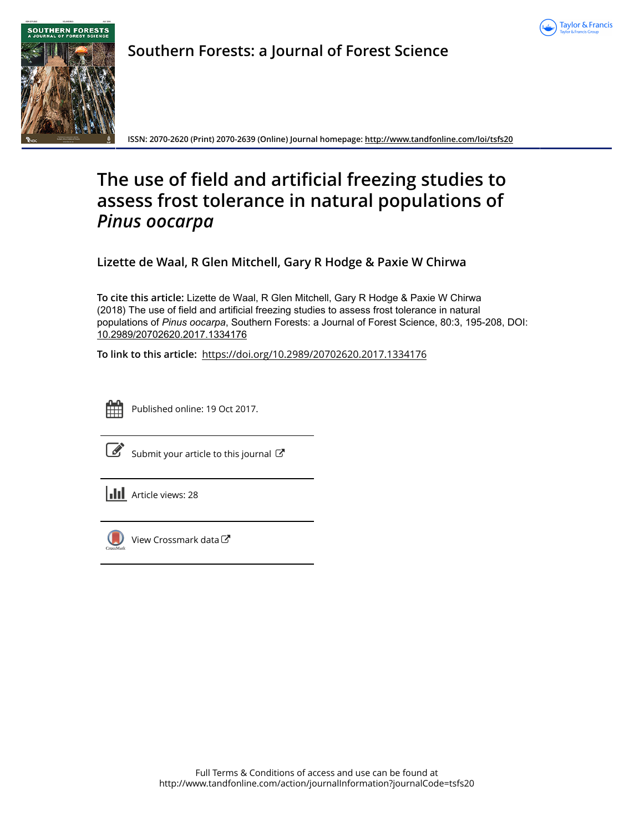



**Southern Forests: a Journal of Forest Science**

**ISSN: 2070-2620 (Print) 2070-2639 (Online) Journal homepage:<http://www.tandfonline.com/loi/tsfs20>**

# **The use of field and artificial freezing studies to assess frost tolerance in natural populations of** *Pinus oocarpa*

**Lizette de Waal, R Glen Mitchell, Gary R Hodge & Paxie W Chirwa**

**To cite this article:** Lizette de Waal, R Glen Mitchell, Gary R Hodge & Paxie W Chirwa (2018) The use of field and artificial freezing studies to assess frost tolerance in natural populations of Pinus oocarpa, Southern Forests: a Journal of Forest Science, 80:3, 195-208, DOI: [10.2989/20702620.2017.1334176](http://www.tandfonline.com/action/showCitFormats?doi=10.2989/20702620.2017.1334176)

**To link to this article:** <https://doi.org/10.2989/20702620.2017.1334176>



Published online: 19 Oct 2017.

| ٦ |
|---|

[Submit your article to this journal](http://www.tandfonline.com/action/authorSubmission?journalCode=tsfs20&show=instructions)  $\mathbb{Z}$ 

**Article views: 28** 



[View Crossmark data](http://crossmark.crossref.org/dialog/?doi=10.2989/20702620.2017.1334176&domain=pdf&date_stamp=2017-10-19) $\mathbb{Z}$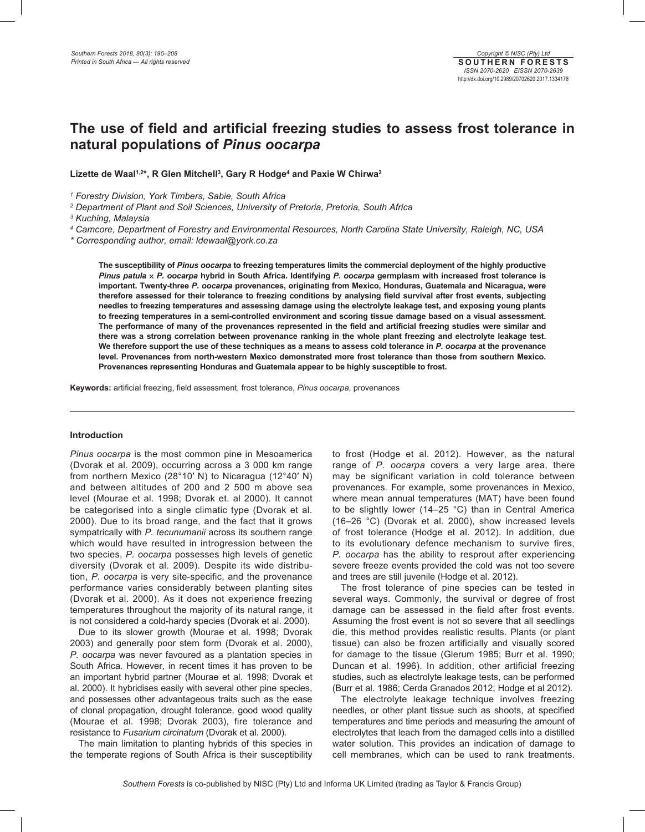# **The use of field and artificial freezing studies to assess frost tolerance in natural populations of** *Pinus oocarpa*

Lizette de Waal<sup>1,2\*</sup>, R Glen Mitchell<sup>3</sup>, Gary R Hodge<sup>4</sup> and Paxie W Chirwa<sup>2</sup>

*1 Forestry Division, York Timbers, Sabie, South Africa*

*2 Department of Plant and Soil Sciences, University of Pretoria, Pretoria, South Africa*

*3 Kuching, Malaysia*

*4 Camcore, Department of Forestry and Environmental Resources, North Carolina State University, Raleigh, NC, USA*

*\* Corresponding author, email: ldewaal@york.co.za*

**The susceptibility of** *Pinus oocarpa* **to freezing temperatures limits the commercial deployment of the highly productive**  *Pinus patula* × *P. oocarpa* **hybrid in South Africa. Identifying** *P. oocarpa* **germplasm with increased frost tolerance is important. Twenty-three** *P. oocarpa* **provenances, originating from Mexico, Honduras, Guatemala and Nicaragua, were therefore assessed for their tolerance to freezing conditions by analysing field survival after frost events, subjecting needles to freezing temperatures and assessing damage using the electrolyte leakage test, and exposing young plants to freezing temperatures in a semi-controlled environment and scoring tissue damage based on a visual assessment. The performance of many of the provenances represented in the field and artificial freezing studies were similar and there was a strong correlation between provenance ranking in the whole plant freezing and electrolyte leakage test. We therefore support the use of these techniques as a means to assess cold tolerance in** *P. oocarpa* **at the provenance level. Provenances from north-western Mexico demonstrated more frost tolerance than those from southern Mexico. Provenances representing Honduras and Guatemala appear to be highly susceptible to frost.** 

**Keywords:** artificial freezing, field assessment, frost tolerance, *Pinus oocarpa*, provenances

# **Introduction**

*Pinus oocarpa* is the most common pine in Mesoamerica (Dvorak et al. 2009), occurring across a 3 000 km range from northern Mexico (28°10′ N) to Nicaragua (12°40′ N) and between altitudes of 200 and 2 500 m above sea level (Mourae et al. 1998; Dvorak et. al 2000). It cannot be categorised into a single climatic type (Dvorak et al. 2000). Due to its broad range, and the fact that it grows sympatrically with *P. tecunumanii* across its southern range which would have resulted in introgression between the two species, *P. oocarpa* possesses high levels of genetic diversity (Dvorak et al. 2009). Despite its wide distribution, *P. oocarpa* is very site-specific, and the provenance performance varies considerably between planting sites (Dvorak et al. 2000). As it does not experience freezing temperatures throughout the majority of its natural range, it is not considered a cold-hardy species (Dvorak et al. 2000).

Due to its slower growth (Mourae et al. 1998; Dvorak 2003) and generally poor stem form (Dvorak et al. 2000), *P. oocarpa* was never favoured as a plantation species in South Africa. However, in recent times it has proven to be an important hybrid partner (Mourae et al. 1998; Dvorak et al. 2000). It hybridises easily with several other pine species, and possesses other advantageous traits such as the ease of clonal propagation, drought tolerance, good wood quality (Mourae et al. 1998; Dvorak 2003), fire tolerance and resistance to *Fusarium circinatum* (Dvorak et al. 2000).

The main limitation to planting hybrids of this species in the temperate regions of South Africa is their susceptibility to frost (Hodge et al. 2012). However, as the natural range of *P. oocarpa* covers a very large area, there may be significant variation in cold tolerance between provenances. For example, some provenances in Mexico, where mean annual temperatures (MAT) have been found to be slightly lower (14–25 °C) than in Central America (16–26 °C) (Dvorak et al. 2000), show increased levels of frost tolerance (Hodge et al. 2012). In addition, due to its evolutionary defence mechanism to survive fires, *P. oocarpa* has the ability to resprout after experiencing severe freeze events provided the cold was not too severe and trees are still juvenile (Hodge et al. 2012).

The frost tolerance of pine species can be tested in several ways. Commonly, the survival or degree of frost damage can be assessed in the field after frost events. Assuming the frost event is not so severe that all seedlings die, this method provides realistic results. Plants (or plant tissue) can also be frozen artificially and visually scored for damage to the tissue (Glerum 1985; Burr et al. 1990; Duncan et al. 1996). In addition, other artificial freezing studies, such as electrolyte leakage tests, can be performed (Burr et al. 1986; Cerda Granados 2012; Hodge et al 2012).

The electrolyte leakage technique involves freezing needles, or other plant tissue such as shoots, at specified temperatures and time periods and measuring the amount of electrolytes that leach from the damaged cells into a distilled water solution. This provides an indication of damage to cell membranes, which can be used to rank treatments.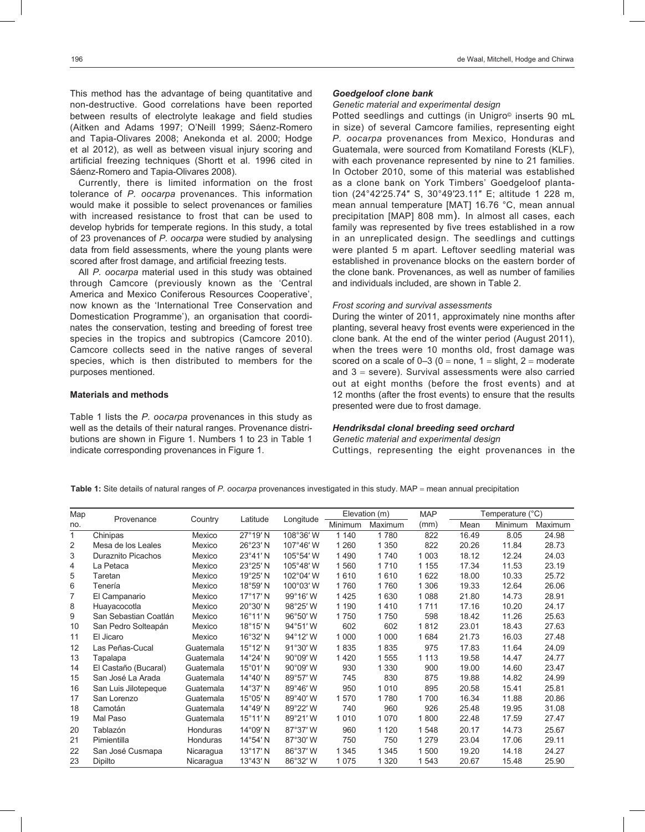This method has the advantage of being quantitative and non-destructive. Good correlations have been reported between results of electrolyte leakage and field studies (Aitken and Adams 1997; O'Neill 1999; Sáenz-Romero and Tapia-Olivares 2008; Anekonda et al. 2000; Hodge et al 2012), as well as between visual injury scoring and artificial freezing techniques (Shortt et al. 1996 cited in Sáenz-Romero and Tapia-Olivares 2008).

Currently, there is limited information on the frost tolerance of *P. oocarpa* provenances. This information would make it possible to select provenances or families with increased resistance to frost that can be used to develop hybrids for temperate regions. In this study, a total of 23 provenances of *P. oocarpa* were studied by analysing data from field assessments, where the young plants were scored after frost damage, and artificial freezing tests.

All *P. oocarpa* material used in this study was obtained through Camcore (previously known as the 'Central America and Mexico Coniferous Resources Cooperative', now known as the 'International Tree Conservation and Domestication Programme'), an organisation that coordinates the conservation, testing and breeding of forest tree species in the tropics and subtropics (Camcore 2010). Camcore collects seed in the native ranges of several species, which is then distributed to members for the purposes mentioned.

#### **Materials and methods**

Table 1 lists the *P. oocarpa* provenances in this study as well as the details of their natural ranges. Provenance distributions are shown in Figure 1. Numbers 1 to 23 in Table 1 indicate corresponding provenances in Figure 1.

#### *Goedgeloof clone bank*

# *Genetic material and experimental design*

Potted seedlings and cuttings (in Unigro<sup>®</sup> inserts 90 mL in size) of several Camcore families, representing eight *P. oocarpa* provenances from Mexico, Honduras and Guatemala, were sourced from Komatiland Forests (KLF), with each provenance represented by nine to 21 families. In October 2010, some of this material was established as a clone bank on York Timbers' Goedgeloof plantation (24°42′25.74″ S, 30°49′23.11″ E; altitude 1 228 m, mean annual temperature [MAT] 16.76 °C, mean annual precipitation [MAP] 808 mm). In almost all cases, each family was represented by five trees established in a row in an unreplicated design. The seedlings and cuttings were planted 5 m apart. Leftover seedling material was established in provenance blocks on the eastern border of the clone bank. Provenances, as well as number of families and individuals included, are shown in Table 2.

#### *Frost scoring and survival assessments*

During the winter of 2011, approximately nine months after planting, several heavy frost events were experienced in the clone bank. At the end of the winter period (August 2011), when the trees were 10 months old, frost damage was scored on a scale of  $0-3$  ( $0 =$  none,  $1 =$  slight,  $2 =$  moderate and  $3$  = severe). Survival assessments were also carried out at eight months (before the frost events) and at 12 months (after the frost events) to ensure that the results presented were due to frost damage.

# *Hendriksdal clonal breeding seed orchard*

*Genetic material and experimental design* Cuttings, representing the eight provenances in the

**Table 1:** Site details of natural ranges of *P. oocarpa* provenances investigated in this study. MAP = mean annual precipitation

| Map |                           |           | Latitude          |           | Elevation (m) |         | <b>MAP</b> |       | Temperature (°C) |         |
|-----|---------------------------|-----------|-------------------|-----------|---------------|---------|------------|-------|------------------|---------|
| no. | Provenance                | Country   |                   | Longitude | Minimum       | Maximum | (mm)       | Mean  | Minimum          | Maximum |
| 1   | Chinipas                  | Mexico    | 27°19' N          | 108°36' W | 1 1 4 0       | 1780    | 822        | 16.49 | 8.05             | 24.98   |
| 2   | Mesa de los Leales        | Mexico    | 26°23' N          | 107°46' W | 1 2 6 0       | 1 350   | 822        | 20.26 | 11.84            | 28.73   |
| 3   | <b>Duraznito Picachos</b> | Mexico    | 23°41' N          | 105°54' W | 1490          | 1740    | 1 0 0 3    | 18.12 | 12.24            | 24.03   |
| 4   | La Petaca                 | Mexico    | 23°25' N          | 105°48' W | 1560          | 1710    | 1 1 5 5    | 17.34 | 11.53            | 23.19   |
| 5   | Taretan                   | Mexico    | 19°25' N          | 102°04' W | 1610          | 1610    | 1 6 2 2    | 18.00 | 10.33            | 25.72   |
| 6   | Tenería                   | Mexico    | 18°59' N          | 100°03' W | 1760          | 1760    | 1 306      | 19.33 | 12.64            | 26.06   |
| 7   | El Campanario             | Mexico    | $17^{\circ}17'$ N | 99°16' W  | 1425          | 1630    | 1088       | 21.80 | 14.73            | 28.91   |
| 8   | Huayacocotla              | Mexico    | 20°30' N          | 98°25' W  | 1 1 9 0       | 1410    | 1711       | 17.16 | 10.20            | 24.17   |
| 9   | San Sebastian Coatlán     | Mexico    | 16°11'N           | 96°50' W  | 1750          | 1750    | 598        | 18.42 | 11.26            | 25.63   |
| 10  | San Pedro Solteapán       | Mexico    | 18°15'N           | 94°51'W   | 602           | 602     | 1812       | 23.01 | 18.43            | 27.63   |
| 11  | El Jicaro                 | Mexico    | 16°32' N          | 94°12' W  | 1 0 0 0       | 1 0 0 0 | 1684       | 21.73 | 16.03            | 27.48   |
| 12  | Las Peñas-Cucal           | Guatemala | 15°12' N          | 91°30' W  | 1835          | 1835    | 975        | 17.83 | 11.64            | 24.09   |
| 13  | Tapalapa                  | Guatemala | 14°24' N          | 90°09' W  | 1420          | 1555    | 1 1 1 3    | 19.58 | 14.47            | 24.77   |
| 14  | El Castaño (Bucaral)      | Guatemala | 15°01'N           | 90°09' W  | 930           | 1 3 3 0 | 900        | 19.00 | 14.60            | 23.47   |
| 15  | San José La Arada         | Guatemala | 14°40' N          | 89°57' W  | 745           | 830     | 875        | 19.88 | 14.82            | 24.99   |
| 16  | San Luis Jilotepeque      | Guatemala | 14°37' N          | 89°46' W  | 950           | 1010    | 895        | 20.58 | 15.41            | 25.81   |
| 17  | San Lorenzo               | Guatemala | 15°05' N          | 89°40' W  | 1570          | 1780    | 1700       | 16.34 | 11.88            | 20.86   |
| 18  | Camotán                   | Guatemala | 14°49' N          | 89°22' W  | 740           | 960     | 926        | 25.48 | 19.95            | 31.08   |
| 19  | Mal Paso                  | Guatemala | $15^{\circ}11'$ N | 89°21'W   | 1010          | 1070    | 1800       | 22.48 | 17.59            | 27.47   |
| 20  | Tablazón                  | Honduras  | 14°09' N          | 87°37' W  | 960           | 1 1 2 0 | 1548       | 20.17 | 14.73            | 25.67   |
| 21  | Pimientilla               | Honduras  | 14°54' N          | 87°30' W  | 750           | 750     | 1 2 7 9    | 23.04 | 17.06            | 29.11   |
| 22  | San José Cusmapa          | Nicaragua | $13^{\circ}17'$ N | 86°37' W  | 1 3 4 5       | 1 3 4 5 | 1500       | 19.20 | 14.18            | 24.27   |
| 23  | Dipilto                   | Nicaragua | $13^{\circ}43'$ N | 86°32' W  | 1075          | 1 3 2 0 | 1543       | 20.67 | 15.48            | 25.90   |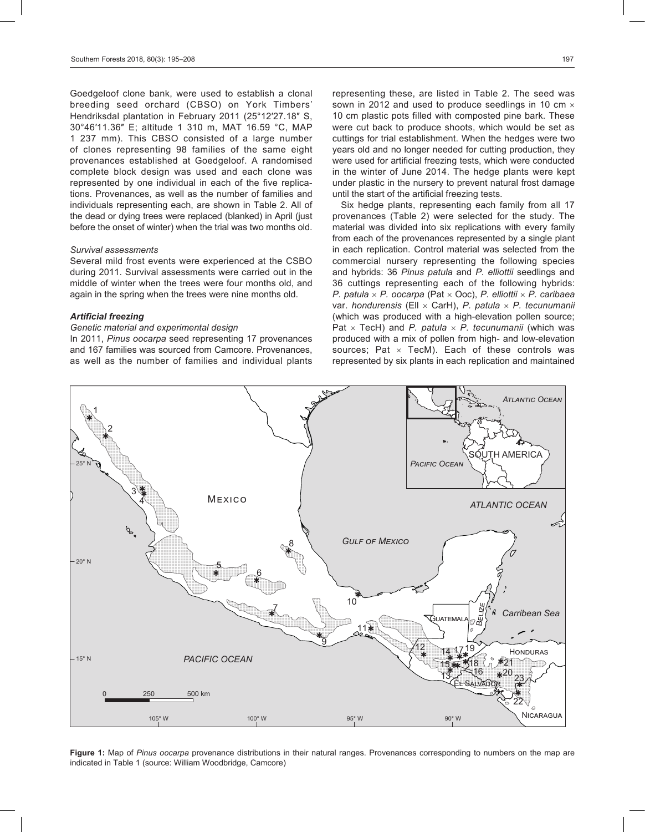Goedgeloof clone bank, were used to establish a clonal breeding seed orchard (CBSO) on York Timbers' Hendriksdal plantation in February 2011 (25°12′27.18″ S, 30°46′11.36″ E; altitude 1 310 m, MAT 16.59 °C, MAP 1 237 mm). This CBSO consisted of a large number of clones representing 98 families of the same eight provenances established at Goedgeloof. A randomised complete block design was used and each clone was represented by one individual in each of the five replications. Provenances, as well as the number of families and individuals representing each, are shown in Table 2. All of the dead or dying trees were replaced (blanked) in April (just before the onset of winter) when the trial was two months old.

#### *Survival assessments*

Several mild frost events were experienced at the CSBO during 2011. Survival assessments were carried out in the middle of winter when the trees were four months old, and again in the spring when the trees were nine months old.

#### *Artificial freezing*

#### *Genetic material and experimental design*

In 2011, *Pinus oocarpa* seed representing 17 provenances and 167 families was sourced from Camcore. Provenances, as well as the number of families and individual plants

representing these, are listed in Table 2. The seed was sown in 2012 and used to produce seedlings in 10 cm  $\times$ 10 cm plastic pots filled with composted pine bark. These were cut back to produce shoots, which would be set as cuttings for trial establishment. When the hedges were two years old and no longer needed for cutting production, they were used for artificial freezing tests, which were conducted in the winter of June 2014. The hedge plants were kept under plastic in the nursery to prevent natural frost damage until the start of the artificial freezing tests.

Six hedge plants, representing each family from all 17 provenances (Table 2) were selected for the study. The material was divided into six replications with every family from each of the provenances represented by a single plant in each replication. Control material was selected from the commercial nursery representing the following species and hybrids: 36 *Pinus patula* and *P. elliottii* seedlings and 36 cuttings representing each of the following hybrids: *P. patula* × *P. oocarpa* (Pat × Ooc), *P. elliottii* × *P. caribaea* var. *hondurensis* (Ell × CarH), *P. patula* × *P. tecunumanii* (which was produced with a high-elevation pollen source; Pat × TecH) and *P. patula* × *P. tecunumanii* (which was produced with a mix of pollen from high- and low-elevation sources; Pat  $\times$  TecM). Each of these controls was represented by six plants in each replication and maintained



**Figure 1:** Map of *Pinus oocarpa* provenance distributions in their natural ranges. Provenances corresponding to numbers on the map are indicated in Table 1 (source: William Woodbridge, Camcore)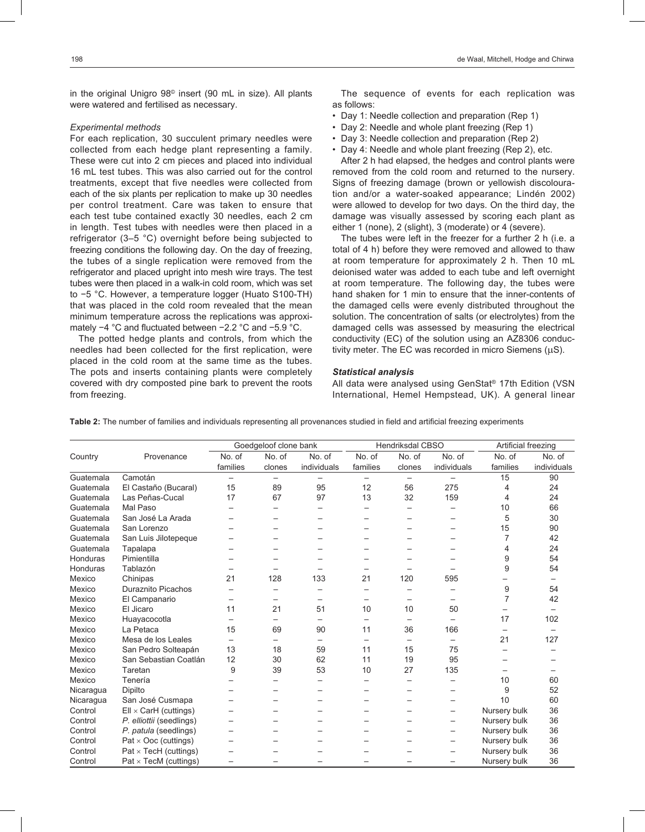in the original Unigro 98© insert (90 mL in size). All plants were watered and fertilised as necessary.

#### *Experimental methods*

For each replication, 30 succulent primary needles were collected from each hedge plant representing a family. These were cut into 2 cm pieces and placed into individual 16 mL test tubes. This was also carried out for the control treatments, except that five needles were collected from each of the six plants per replication to make up 30 needles per control treatment. Care was taken to ensure that each test tube contained exactly 30 needles, each 2 cm in length. Test tubes with needles were then placed in a refrigerator (3–5 °C) overnight before being subjected to freezing conditions the following day. On the day of freezing, the tubes of a single replication were removed from the refrigerator and placed upright into mesh wire trays. The test tubes were then placed in a walk-in cold room, which was set to −5 °C. However, a temperature logger (Huato S100-TH) that was placed in the cold room revealed that the mean minimum temperature across the replications was approximately −4 °C and fluctuated between −2.2 °C and −5.9 °C.

The potted hedge plants and controls, from which the needles had been collected for the first replication, were placed in the cold room at the same time as the tubes. The pots and inserts containing plants were completely covered with dry composted pine bark to prevent the roots from freezing.

The sequence of events for each replication was as follows:

- Day 1: Needle collection and preparation (Rep 1)
- Day 2: Needle and whole plant freezing (Rep 1)
- Day 3: Needle collection and preparation (Rep 2)
- Day 4: Needle and whole plant freezing (Rep 2), etc.

After 2 h had elapsed, the hedges and control plants were removed from the cold room and returned to the nursery. Signs of freezing damage (brown or yellowish discolouration and/or a water-soaked appearance; Lindén 2002) were allowed to develop for two days. On the third day, the damage was visually assessed by scoring each plant as either 1 (none), 2 (slight), 3 (moderate) or 4 (severe).

The tubes were left in the freezer for a further 2 h (i.e. a total of 4 h) before they were removed and allowed to thaw at room temperature for approximately 2 h. Then 10 mL deionised water was added to each tube and left overnight at room temperature. The following day, the tubes were hand shaken for 1 min to ensure that the inner-contents of the damaged cells were evenly distributed throughout the solution. The concentration of salts (or electrolytes) from the damaged cells was assessed by measuring the electrical conductivity (EC) of the solution using an AZ8306 conductivity meter. The EC was recorded in micro Siemens (µS).

#### *Statistical analysis*

All data were analysed using GenStat® 17th Edition (VSN International, Hemel Hempstead, UK). A general linear

|           |                              |                          | Goedgeloof clone bank    |                          |          | <b>Hendriksdal CBSO</b>  |             | Artificial freezing |             |
|-----------|------------------------------|--------------------------|--------------------------|--------------------------|----------|--------------------------|-------------|---------------------|-------------|
| Country   | Provenance                   | No. of                   | No. of                   | No. of                   | No. of   | No. of                   | No. of      | No. of              | No. of      |
|           |                              | families                 | clones                   | individuals              | families | clones                   | individuals | families            | individuals |
| Guatemala | Camotán                      |                          |                          |                          |          | $\overline{\phantom{0}}$ |             | 15                  | 90          |
| Guatemala | El Castaño (Bucaral)         | 15                       | 89                       | 95                       | 12       | 56                       | 275         | 4                   | 24          |
| Guatemala | Las Peñas-Cucal              | 17                       | 67                       | 97                       | 13       | 32                       | 159         | 4                   | 24          |
| Guatemala | Mal Paso                     |                          |                          |                          |          |                          |             | 10                  | 66          |
| Guatemala | San José La Arada            |                          |                          |                          |          |                          |             | 5                   | 30          |
| Guatemala | San Lorenzo                  |                          |                          |                          |          |                          |             | 15                  | 90          |
| Guatemala | San Luis Jilotepeque         |                          |                          |                          |          |                          |             | 7                   | 42          |
| Guatemala | Tapalapa                     |                          |                          |                          |          |                          |             | 4                   | 24          |
| Honduras  | Pimientilla                  |                          |                          |                          |          |                          |             | 9                   | 54          |
| Honduras  | Tablazón                     |                          |                          |                          |          |                          |             | 9                   | 54          |
| Mexico    | Chinipas                     | 21                       | 128                      | 133                      | 21       | 120                      | 595         |                     |             |
| Mexico    | <b>Duraznito Picachos</b>    |                          |                          | -                        |          |                          |             | 9                   | 54          |
| Mexico    | El Campanario                |                          |                          | $\overline{\phantom{0}}$ |          | —                        |             | 7                   | 42          |
| Mexico    | El Jicaro                    | 11                       | 21                       | 51                       | 10       | 10                       | 50          |                     |             |
| Mexico    | Huayacocotla                 |                          |                          |                          |          |                          |             | 17                  | 102         |
| Mexico    | La Petaca                    | 15                       | 69                       | 90                       | 11       | 36                       | 166         |                     |             |
| Mexico    | Mesa de los Leales           |                          | $\overline{\phantom{0}}$ | $\qquad \qquad -$        |          | $\overline{\phantom{0}}$ |             | 21                  | 127         |
| Mexico    | San Pedro Solteapán          | 13                       | 18                       | 59                       | 11       | 15                       | 75          |                     |             |
| Mexico    | San Sebastian Coatlán        | 12                       | 30                       | 62                       | 11       | 19                       | 95          |                     |             |
| Mexico    | Taretan                      | 9                        | 39                       | 53                       | 10       | 27                       | 135         |                     |             |
| Mexico    | Tenería                      |                          |                          |                          |          |                          |             | 10                  | 60          |
| Nicaragua | Dipilto                      |                          |                          |                          |          |                          |             | 9                   | 52          |
| Nicaragua | San José Cusmapa             |                          |                          |                          |          |                          |             | 10                  | 60          |
| Control   | $Ell \times Carl$ (cuttings) |                          |                          |                          |          |                          |             | Nursery bulk        | 36          |
| Control   | P. elliottii (seedlings)     |                          |                          |                          |          |                          |             | Nursery bulk        | 36          |
| Control   | P. patula (seedlings)        |                          |                          |                          |          |                          |             | Nursery bulk        | 36          |
| Control   | $Pat \times Occ$ (cuttings)  |                          |                          |                          |          |                          |             | Nursery bulk        | 36          |
| Control   | $Pat \times Tech$ (cuttings) |                          |                          |                          |          |                          |             | Nursery bulk        | 36          |
| Control   | $Pat \times Tech$ (cuttings) | $\overline{\phantom{0}}$ |                          |                          |          |                          |             | Nursery bulk        | 36          |

**Table 2:** The number of families and individuals representing all provenances studied in field and artificial freezing experiments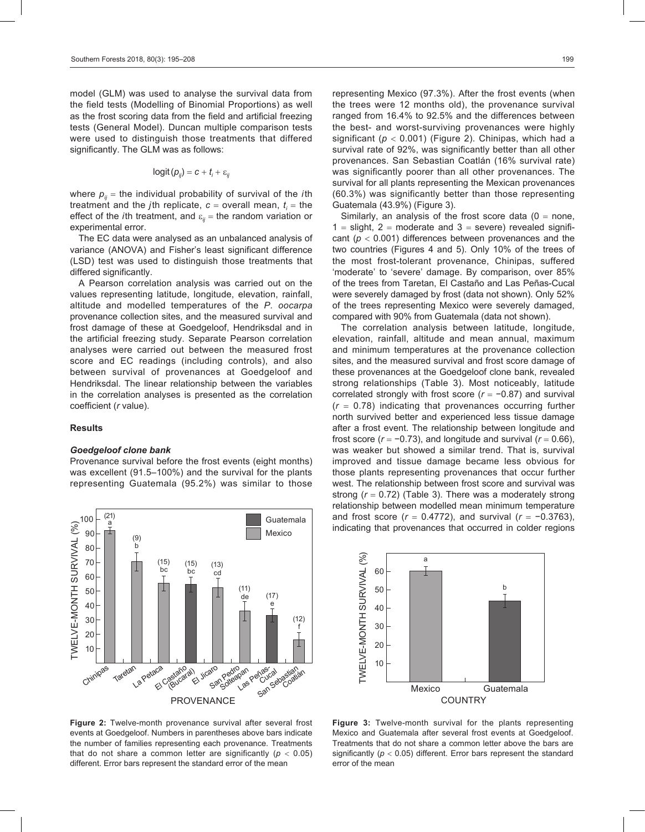model (GLM) was used to analyse the survival data from the field tests (Modelling of Binomial Proportions) as well as the frost scoring data from the field and artificial freezing tests (General Model). Duncan multiple comparison tests were used to distinguish those treatments that differed significantly. The GLM was as follows:

$$
logit(p_{ij}) = c + t_i + \varepsilon_{ij}
$$

where  $p_{ij}$  = the individual probability of survival of the *i*th treatment and the *j*th replicate,  $c =$  overall mean,  $t_i =$  the effect of the *i*th treatment, and  $\varepsilon_{ij}$  = the random variation or experimental error.

The EC data were analysed as an unbalanced analysis of variance (ANOVA) and Fisher's least significant difference (LSD) test was used to distinguish those treatments that differed significantly.

A Pearson correlation analysis was carried out on the values representing latitude, longitude, elevation, rainfall, altitude and modelled temperatures of the *P. oocarpa* provenance collection sites, and the measured survival and frost damage of these at Goedgeloof, Hendriksdal and in the artificial freezing study. Separate Pearson correlation analyses were carried out between the measured frost score and EC readings (including controls), and also between survival of provenances at Goedgeloof and Hendriksdal. The linear relationship between the variables in the correlation analyses is presented as the correlation coefficient (*r* value).

#### **Results**

#### *Goedgeloof clone bank*

Provenance survival before the frost events (eight months) was excellent (91.5–100%) and the survival for the plants representing Guatemala (95.2%) was similar to those



**Figure 2:** Twelve-month provenance survival after several frost events at Goedgeloof. Numbers in parentheses above bars indicate the number of families representing each provenance. Treatments that do not share a common letter are significantly  $(p < 0.05)$ different. Error bars represent the standard error of the mean

representing Mexico (97.3%). After the frost events (when the trees were 12 months old), the provenance survival ranged from 16.4% to 92.5% and the differences between the best- and worst-surviving provenances were highly significant (*p* < 0.001) (Figure 2). Chinipas, which had a survival rate of 92%, was significantly better than all other provenances. San Sebastian Coatlán (16% survival rate) was significantly poorer than all other provenances. The survival for all plants representing the Mexican provenances (60.3%) was significantly better than those representing Guatemala (43.9%) (Figure 3).

Similarly, an analysis of the frost score data  $(0 = none,$  $1 =$  slight,  $2 =$  moderate and  $3 =$  severe) revealed significant  $(p < 0.001)$  differences between provenances and the two countries (Figures 4 and 5). Only 10% of the trees of the most frost-tolerant provenance, Chinipas, suffered 'moderate' to 'severe' damage. By comparison, over 85% of the trees from Taretan, El Castaño and Las Peñas-Cucal were severely damaged by frost (data not shown). Only 52% of the trees representing Mexico were severely damaged, compared with 90% from Guatemala (data not shown).

The correlation analysis between latitude, longitude, elevation, rainfall, altitude and mean annual, maximum and minimum temperatures at the provenance collection sites, and the measured survival and frost score damage of these provenances at the Goedgeloof clone bank, revealed strong relationships (Table 3). Most noticeably, latitude correlated strongly with frost score (*r* = −0.87) and survival (*r* = 0.78) indicating that provenances occurring further north survived better and experienced less tissue damage after a frost event. The relationship between longitude and frost score ( $r = -0.73$ ), and longitude and survival ( $r = 0.66$ ), was weaker but showed a similar trend. That is, survival improved and tissue damage became less obvious for those plants representing provenances that occur further west. The relationship between frost score and survival was strong (*r* = 0.72) (Table 3). There was a moderately strong relationship between modelled mean minimum temperature and frost score (*r* = 0.4772), and survival (*r* = −0.3763), indicating that provenances that occurred in colder regions



**Figure 3:** Twelve-month survival for the plants representing Mexico and Guatemala after several frost events at Goedgeloof. Treatments that do not share a common letter above the bars are significantly ( $p < 0.05$ ) different. Error bars represent the standard error of the mean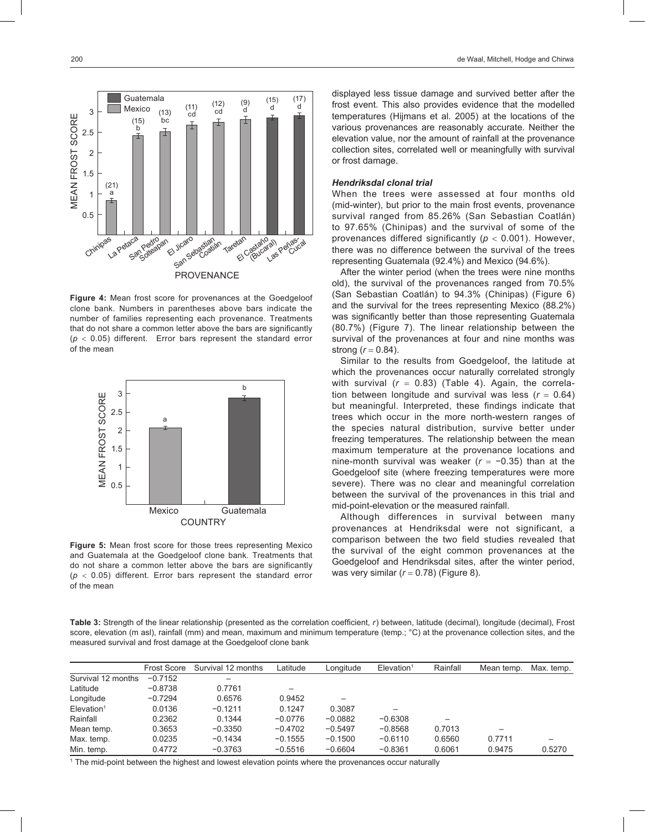

**Figure 4:** Mean frost score for provenances at the Goedgeloof clone bank. Numbers in parentheses above bars indicate the number of families representing each provenance. Treatments that do not share a common letter above the bars are significantly  $(p < 0.05)$  different. Error bars represent the standard error of the mean



**Figure 5:** Mean frost score for those trees representing Mexico and Guatemala at the Goedgeloof clone bank. Treatments that do not share a common letter above the bars are significantly  $(p < 0.05)$  different. Error bars represent the standard error of the mean

displayed less tissue damage and survived better after the frost event. This also provides evidence that the modelled temperatures (Hijmans et al. 2005) at the locations of the various provenances are reasonably accurate. Neither the elevation value, nor the amount of rainfall at the provenance collection sites, correlated well or meaningfully with survival or frost damage.

#### *Hendriksdal clonal trial*

When the trees were assessed at four months old (mid-winter), but prior to the main frost events, provenance survival ranged from 85.26% (San Sebastian Coatlán) to 97.65% (Chinipas) and the survival of some of the provenances differed significantly (*p* < 0.001). However, there was no difference between the survival of the trees representing Guatemala (92.4%) and Mexico (94.6%).

After the winter period (when the trees were nine months old), the survival of the provenances ranged from 70.5% (San Sebastian Coatlán) to 94.3% (Chinipas) (Figure 6) and the survival for the trees representing Mexico (88.2%) was significantly better than those representing Guatemala (80.7%) (Figure 7). The linear relationship between the survival of the provenances at four and nine months was strong  $(r = 0.84)$ .

Similar to the results from Goedgeloof, the latitude at which the provenances occur naturally correlated strongly with survival  $(r = 0.83)$  (Table 4). Again, the correlation between longitude and survival was less  $(r = 0.64)$ but meaningful. Interpreted, these findings indicate that trees which occur in the more north-western ranges of the species natural distribution, survive better under freezing temperatures. The relationship between the mean maximum temperature at the provenance locations and nine-month survival was weaker (*r* = −0.35) than at the Goedgeloof site (where freezing temperatures were more severe). There was no clear and meaningful correlation between the survival of the provenances in this trial and mid-point-elevation or the measured rainfall.

Although differences in survival between many provenances at Hendriksdal were not significant, a comparison between the two field studies revealed that the survival of the eight common provenances at the Goedgeloof and Hendriksdal sites, after the winter period, was very similar (*r* = 0.78) (Figure 8).

**Table 3:** Strength of the linear relationship (presented as the correlation coefficient, *r*) between, latitude (decimal), longitude (decimal), Frost score, elevation (m asl), rainfall (mm) and mean, maximum and minimum temperature (temp.; °C) at the provenance collection sites, and the measured survival and frost damage at the Goedgeloof clone bank

|                           | <b>Frost Score</b> | Survival 12 months | Latitude  | Lonaitude | $E$ levation <sup>1</sup> | Rainfall | Mean temp.               | Max. temp. |
|---------------------------|--------------------|--------------------|-----------|-----------|---------------------------|----------|--------------------------|------------|
| Survival 12 months        | $-0.7152$          |                    |           |           |                           |          |                          |            |
| Latitude                  | $-0.8738$          | 0.7761             |           |           |                           |          |                          |            |
| Longitude                 | $-0.7294$          | 0.6576             | 0.9452    |           |                           |          |                          |            |
| $E$ levation <sup>1</sup> | 0.0136             | $-0.1211$          | 0.1247    | 0.3087    |                           |          |                          |            |
| Rainfall                  | 0.2362             | 0.1344             | $-0.0776$ | $-0.0882$ | $-0.6308$                 |          |                          |            |
| Mean temp.                | 0.3653             | $-0.3350$          | $-0.4702$ | $-0.5497$ | $-0.8568$                 | 0.7013   | $\overline{\phantom{m}}$ |            |
| Max. temp.                | 0.0235             | $-0.1434$          | $-0.1555$ | $-0.1500$ | $-0.6110$                 | 0.6560   | 0.7711                   |            |
| Min. temp.                | 0.4772             | $-0.3763$          | $-0.5516$ | $-0.6604$ | $-0.8361$                 | 0.6061   | 0.9475                   | 0.5270     |
|                           |                    |                    |           |           |                           |          |                          |            |

1 The mid-point between the highest and lowest elevation points where the provenances occur naturally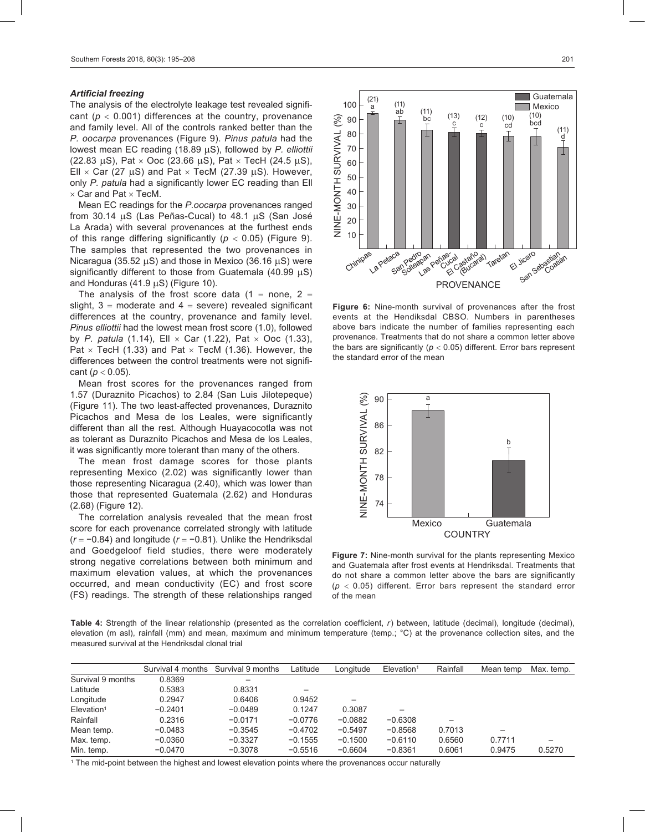#### *Artificial freezing*

The analysis of the electrolyte leakage test revealed significant (*p* < 0.001) differences at the country, provenance and family level. All of the controls ranked better than the *P. oocarpa* provenances (Figure 9). *Pinus patula* had the lowest mean EC reading (18.89 µS), followed by *P. elliottii* (22.83  $\mu$ S), Pat  $\times$  Ooc (23.66  $\mu$ S), Pat  $\times$  TecH (24.5  $\mu$ S), Ell  $\times$  Car (27 uS) and Pat  $\times$  TecM (27.39 uS). However, only *P. patula* had a significantly lower EC reading than Ell  $\times$  Car and Pat  $\times$  TecM.

Mean EC readings for the *P.oocarpa* provenances ranged from 30.14 µS (Las Peñas-Cucal) to 48.1 µS (San José La Arada) with several provenances at the furthest ends of this range differing significantly ( $p < 0.05$ ) (Figure 9). The samples that represented the two provenances in Nicaragua (35.52  $\mu$ S) and those in Mexico (36.16  $\mu$ S) were significantly different to those from Guatemala (40.99  $\mu$ S) and Honduras  $(41.9 \,\mu S)$  (Figure 10).

The analysis of the frost score data  $(1 =$  none,  $2 =$ slight,  $3 =$  moderate and  $4 =$  severe) revealed significant differences at the country, provenance and family level. *Pinus elliottii* had the lowest mean frost score (1.0), followed by *P. patula* (1.14), Ell  $\times$  Car (1.22), Pat  $\times$  Ooc (1.33), Pat  $\times$  TecH (1.33) and Pat  $\times$  TecM (1.36). However, the differences between the control treatments were not significant (*p* < 0.05).

Mean frost scores for the provenances ranged from 1.57 (Duraznito Picachos) to 2.84 (San Luis Jilotepeque) (Figure 11). The two least-affected provenances, Duraznito Picachos and Mesa de los Leales, were significantly different than all the rest. Although Huayacocotla was not as tolerant as Duraznito Picachos and Mesa de los Leales, it was significantly more tolerant than many of the others.

The mean frost damage scores for those plants representing Mexico (2.02) was significantly lower than those representing Nicaragua (2.40), which was lower than those that represented Guatemala (2.62) and Honduras (2.68) (Figure 12).

The correlation analysis revealed that the mean frost score for each provenance correlated strongly with latitude (*r* = −0.84) and longitude (*r* = −0.81). Unlike the Hendriksdal and Goedgeloof field studies, there were moderately strong negative correlations between both minimum and maximum elevation values, at which the provenances occurred, and mean conductivity (EC) and frost score (FS) readings. The strength of these relationships ranged



**Figure 6:** Nine-month survival of provenances after the frost events at the Hendiksdal CBSO. Numbers in parentheses above bars indicate the number of families representing each provenance. Treatments that do not share a common letter above the bars are significantly ( $p < 0.05$ ) different. Error bars represent the standard error of the mean



**Figure 7:** Nine-month survival for the plants representing Mexico and Guatemala after frost events at Hendriksdal. Treatments that do not share a common letter above the bars are significantly  $(p < 0.05)$  different. Error bars represent the standard error of the mean

Table 4: Strength of the linear relationship (presented as the correlation coefficient, r) between, latitude (decimal), longitude (decimal), elevation (m asl), rainfall (mm) and mean, maximum and minimum temperature (temp.; °C) at the provenance collection sites, and the measured survival at the Hendriksdal clonal trial

|                           |           | Survival 4 months Survival 9 months | Latitude  | Longitude | $E$ levation <sup>1</sup> | Rainfall | Mean temp | Max. temp. |
|---------------------------|-----------|-------------------------------------|-----------|-----------|---------------------------|----------|-----------|------------|
| Survival 9 months         | 0.8369    | $\overline{\phantom{m}}$            |           |           |                           |          |           |            |
| Latitude                  | 0.5383    | 0.8331                              |           |           |                           |          |           |            |
| Longitude                 | 0.2947    | 0.6406                              | 0.9452    |           |                           |          |           |            |
| $E$ levation <sup>1</sup> | $-0.2401$ | $-0.0489$                           | 0.1247    | 0.3087    |                           |          |           |            |
| Rainfall                  | 0.2316    | $-0.0171$                           | $-0.0776$ | $-0.0882$ | $-0.6308$                 |          |           |            |
| Mean temp.                | $-0.0483$ | $-0.3545$                           | $-0.4702$ | $-0.5497$ | $-0.8568$                 | 0.7013   |           |            |
| Max. temp.                | $-0.0360$ | $-0.3327$                           | $-0.1555$ | $-0.1500$ | $-0.6110$                 | 0.6560   | 0.7711    |            |
| Min. temp.                | $-0.0470$ | $-0.3078$                           | $-0.5516$ | $-0.6604$ | $-0.8361$                 | 0.6061   | 0.9475    | 0.5270     |

1 The mid-point between the highest and lowest elevation points where the provenances occur naturally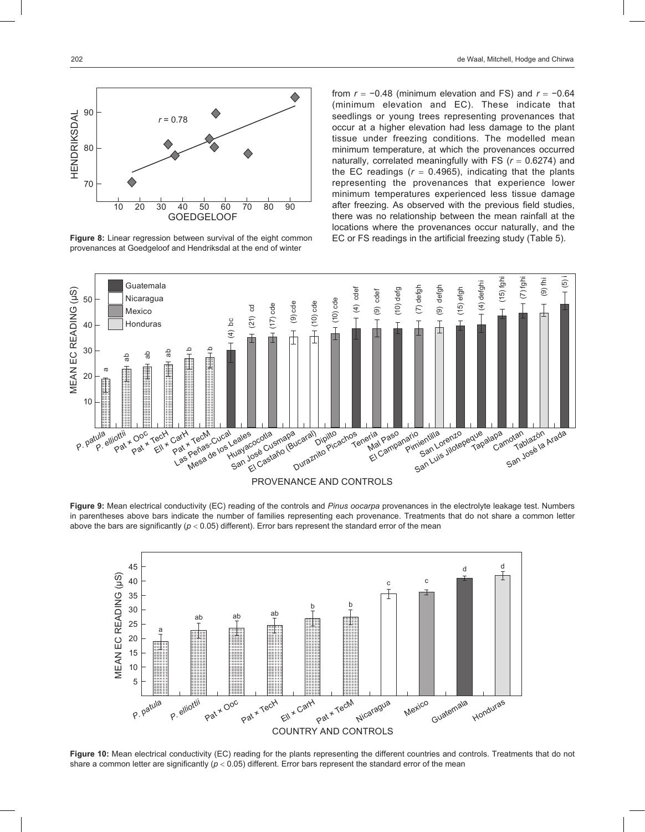

provenances at Goedgeloof and Hendriksdal at the end of winter

from *r* = −0.48 (minimum elevation and FS) and *r* = −0.64 (minimum elevation and EC). These indicate that seedlings or young trees representing provenances that occur at a higher elevation had less damage to the plant tissue under freezing conditions. The modelled mean minimum temperature, at which the provenances occurred naturally, correlated meaningfully with FS (*r* = 0.6274) and the EC readings  $(r = 0.4965)$ , indicating that the plants representing the provenances that experience lower minimum temperatures experienced less tissue damage after freezing. As observed with the previous field studies, there was no relationship between the mean rainfall at the locations where the provenances occur naturally, and the **Figure 8:** Linear regression between survival of the eight common EC or FS readings in the artificial freezing study (Table 5).



**Figure 9:** Mean electrical conductivity (EC) reading of the controls and *Pinus oocarpa* provenances in the electrolyte leakage test. Numbers in parentheses above bars indicate the number of families representing each provenance. Treatments that do not share a common letter above the bars are significantly  $(p < 0.05)$  different). Error bars represent the standard error of the mean



**Figure 10:** Mean electrical conductivity (EC) reading for the plants representing the different countries and controls. Treatments that do not share a common letter are significantly ( $p < 0.05$ ) different. Error bars represent the standard error of the mean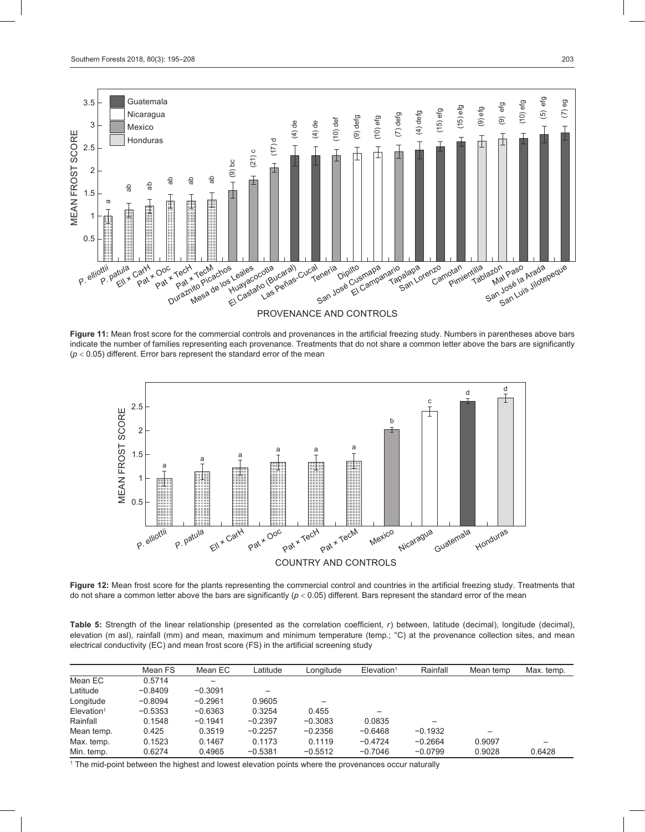

**Figure 11:** Mean frost score for the commercial controls and provenances in the artificial freezing study. Numbers in parentheses above bars indicate the number of families representing each provenance. Treatments that do not share a common letter above the bars are significantly (*p* < 0.05) different. Error bars represent the standard error of the mean



**Figure 12:** Mean frost score for the plants representing the commercial control and countries in the artificial freezing study. Treatments that do not share a common letter above the bars are significantly (*p* < 0.05) different. Bars represent the standard error of the mean

Table 5: Strength of the linear relationship (presented as the correlation coefficient, r) between, latitude (decimal), longitude (decimal), elevation (m asl), rainfall (mm) and mean, maximum and minimum temperature (temp.; °C) at the provenance collection sites, and mean electrical conductivity (EC) and mean frost score (FS) in the artificial screening study

|                           | Mean FS   | Mean EC   | Latitude  | Longitude | $E$ levation <sup>1</sup> | Rainfall  | Mean temp | Max. temp. |
|---------------------------|-----------|-----------|-----------|-----------|---------------------------|-----------|-----------|------------|
| Mean EC                   | 0.5714    |           |           |           |                           |           |           |            |
| Latitude                  | $-0.8409$ | $-0.3091$ |           |           |                           |           |           |            |
| Longitude                 | $-0.8094$ | $-0.2961$ | 0.9605    |           |                           |           |           |            |
| $E$ levation <sup>1</sup> | $-0.5353$ | $-0.6363$ | 0.3254    | 0.455     |                           |           |           |            |
| Rainfall                  | 0.1548    | $-0.1941$ | $-0.2397$ | $-0.3083$ | 0.0835                    |           |           |            |
| Mean temp.                | 0.425     | 0.3519    | $-0.2257$ | $-0.2356$ | $-0.6468$                 | $-0.1932$ | -         |            |
| Max. temp.                | 0.1523    | 0.1467    | 0.1173    | 0.1119    | $-0.4724$                 | $-0.2664$ | 0.9097    |            |
| Min. temp.                | 0.6274    | 0.4965    | $-0.5381$ | $-0.5512$ | $-0.7046$                 | $-0.0799$ | 0.9028    | 0.6428     |

1 The mid-point between the highest and lowest elevation points where the provenances occur naturally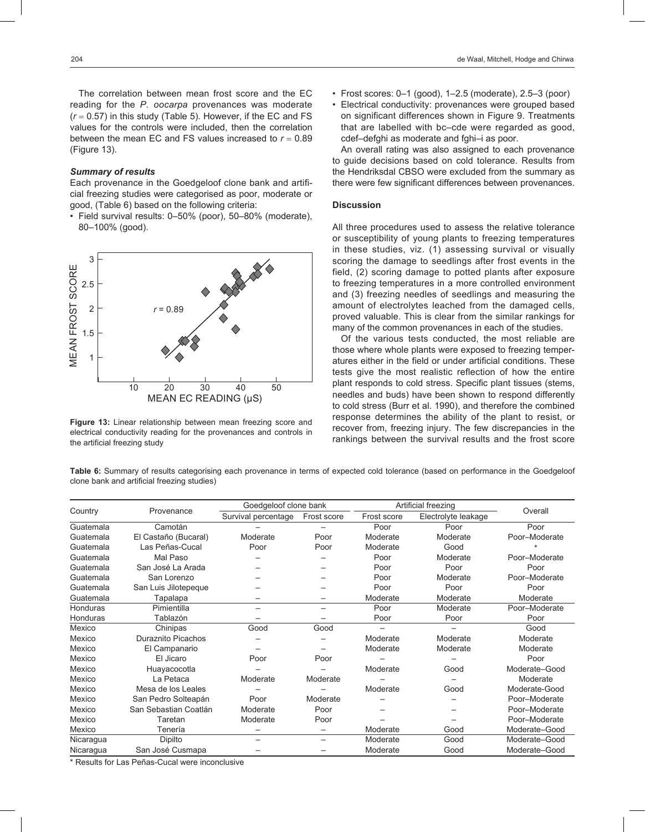The correlation between mean frost score and the EC reading for the *P. oocarpa* provenances was moderate  $(r = 0.57)$  in this study (Table 5). However, if the EC and FS values for the controls were included, then the correlation between the mean EC and FS values increased to  $r = 0.89$ (Figure 13).

#### *Summary of results*

Each provenance in the Goedgeloof clone bank and artificial freezing studies were categorised as poor, moderate or good, (Table 6) based on the following criteria:

• Field survival results: 0–50% (poor), 50–80% (moderate), 80–100% (good).



**Figure 13:** Linear relationship between mean freezing score and electrical conductivity reading for the provenances and controls in the artificial freezing study

- Frost scores: 0–1 (good), 1–2.5 (moderate), 2.5–3 (poor)
- Electrical conductivity: provenances were grouped based on significant differences shown in Figure 9. Treatments that are labelled with bc–cde were regarded as good, cdef–defghi as moderate and fghi–i as poor.

An overall rating was also assigned to each provenance to guide decisions based on cold tolerance. Results from the Hendriksdal CBSO were excluded from the summary as there were few significant differences between provenances.

# **Discussion**

All three procedures used to assess the relative tolerance or susceptibility of young plants to freezing temperatures in these studies, viz. (1) assessing survival or visually scoring the damage to seedlings after frost events in the field, (2) scoring damage to potted plants after exposure to freezing temperatures in a more controlled environment and (3) freezing needles of seedlings and measuring the amount of electrolytes leached from the damaged cells, proved valuable. This is clear from the similar rankings for many of the common provenances in each of the studies.

Of the various tests conducted, the most reliable are those where whole plants were exposed to freezing temperatures either in the field or under artificial conditions. These tests give the most realistic reflection of how the entire plant responds to cold stress. Specific plant tissues (stems, needles and buds) have been shown to respond differently to cold stress (Burr et al. 1990), and therefore the combined response determines the ability of the plant to resist, or recover from, freezing injury. The few discrepancies in the rankings between the survival results and the frost score

**Table 6:** Summary of results categorising each provenance in terms of expected cold tolerance (based on performance in the Goedgeloof clone bank and artificial freezing studies)

|           |                       | Goedgeloof clone bank |                          |             | Artificial freezing |               |  |
|-----------|-----------------------|-----------------------|--------------------------|-------------|---------------------|---------------|--|
| Country   | Provenance            | Survival percentage   | Frost score              | Frost score | Electrolyte leakage | Overall       |  |
| Guatemala | Camotán               |                       |                          | Poor        | Poor                | Poor          |  |
| Guatemala | El Castaño (Bucaral)  | Moderate              | Poor                     | Moderate    | Moderate            | Poor-Moderate |  |
| Guatemala | Las Peñas-Cucal       | Poor                  | Poor                     | Moderate    | Good                |               |  |
| Guatemala | Mal Paso              |                       |                          | Poor        | Moderate            | Poor-Moderate |  |
| Guatemala | San José La Arada     |                       |                          | Poor        | Poor                | Poor          |  |
| Guatemala | San Lorenzo           |                       |                          | Poor        | Moderate            | Poor-Moderate |  |
| Guatemala | San Luis Jilotepeque  |                       |                          | Poor        | Poor                | Poor          |  |
| Guatemala | Tapalapa              |                       |                          | Moderate    | Moderate            | Moderate      |  |
| Honduras  | Pimientilla           |                       | $\overline{\phantom{0}}$ | Poor        | Moderate            | Poor-Moderate |  |
| Honduras  | Tablazón              |                       |                          | Poor        | Poor                | Poor          |  |
| Mexico    | Chinipas              | Good                  | Good                     |             |                     | Good          |  |
| Mexico    | Duraznito Picachos    |                       |                          | Moderate    | Moderate            | Moderate      |  |
| Mexico    | El Campanario         |                       |                          | Moderate    | Moderate            | Moderate      |  |
| Mexico    | El Jicaro             | Poor                  | Poor                     |             |                     | Poor          |  |
| Mexico    | Huayacocotla          |                       |                          | Moderate    | Good                | Moderate-Good |  |
| Mexico    | La Petaca             | Moderate              | Moderate                 |             |                     | Moderate      |  |
| Mexico    | Mesa de los Leales    |                       |                          | Moderate    | Good                | Moderate-Good |  |
| Mexico    | San Pedro Solteapán   | Poor                  | Moderate                 |             |                     | Poor-Moderate |  |
| Mexico    | San Sebastian Coatlán | Moderate              | Poor                     |             |                     | Poor-Moderate |  |
| Mexico    | Taretan               | Moderate              | Poor                     |             |                     | Poor-Moderate |  |
| Mexico    | Tenería               |                       |                          | Moderate    | Good                | Moderate-Good |  |
| Nicaragua | Dipilto               |                       |                          | Moderate    | Good                | Moderate-Good |  |
| Nicaragua | San José Cusmapa      |                       |                          | Moderate    | Good                | Moderate-Good |  |

\* Results for Las Peñas-Cucal were inconclusive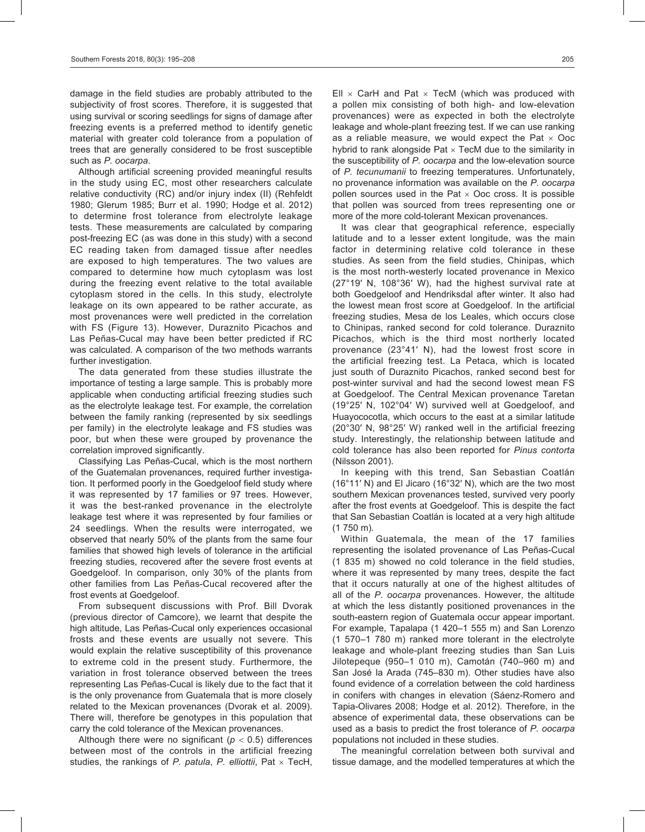damage in the field studies are probably attributed to the subjectivity of frost scores. Therefore, it is suggested that using survival or scoring seedlings for signs of damage after freezing events is a preferred method to identify genetic material with greater cold tolerance from a population of trees that are generally considered to be frost susceptible such as *P. oocarpa*.

Although artificial screening provided meaningful results in the study using EC, most other researchers calculate relative conductivity (RC) and/or injury index (II) (Rehfeldt 1980; Glerum 1985; Burr et al. 1990; Hodge et al. 2012) to determine frost tolerance from electrolyte leakage tests. These measurements are calculated by comparing post-freezing EC (as was done in this study) with a second EC reading taken from damaged tissue after needles are exposed to high temperatures. The two values are compared to determine how much cytoplasm was lost during the freezing event relative to the total available cytoplasm stored in the cells. In this study, electrolyte leakage on its own appeared to be rather accurate, as most provenances were well predicted in the correlation with FS (Figure 13). However, Duraznito Picachos and Las Peñas-Cucal may have been better predicted if RC was calculated. A comparison of the two methods warrants further investigation.

The data generated from these studies illustrate the importance of testing a large sample. This is probably more applicable when conducting artificial freezing studies such as the electrolyte leakage test. For example, the correlation between the family ranking (represented by six seedlings per family) in the electrolyte leakage and FS studies was poor, but when these were grouped by provenance the correlation improved significantly.

Classifying Las Peñas-Cucal, which is the most northern of the Guatemalan provenances, required further investigation. It performed poorly in the Goedgeloof field study where it was represented by 17 families or 97 trees. However, it was the best-ranked provenance in the electrolyte leakage test where it was represented by four families or 24 seedlings. When the results were interrogated, we observed that nearly 50% of the plants from the same four families that showed high levels of tolerance in the artificial freezing studies, recovered after the severe frost events at Goedgeloof. In comparison, only 30% of the plants from other families from Las Peñas-Cucal recovered after the frost events at Goedgeloof.

From subsequent discussions with Prof. Bill Dvorak (previous director of Camcore), we learnt that despite the high altitude, Las Peñas-Cucal only experiences occasional frosts and these events are usually not severe. This would explain the relative susceptibility of this provenance to extreme cold in the present study. Furthermore, the variation in frost tolerance observed between the trees representing Las Peñas-Cucal is likely due to the fact that it is the only provenance from Guatemala that is more closely related to the Mexican provenances (Dvorak et al. 2009). There will, therefore be genotypes in this population that carry the cold tolerance of the Mexican provenances.

Although there were no significant ( $p < 0.5$ ) differences between most of the controls in the artificial freezing studies, the rankings of *P. patula*, *P. elliottii*, Pat × TecH, Ell  $\times$  CarH and Pat  $\times$  TecM (which was produced with a pollen mix consisting of both high- and low-elevation provenances) were as expected in both the electrolyte leakage and whole-plant freezing test. If we can use ranking as a reliable measure, we would expect the Pat  $\times$  Ooc hybrid to rank alongside Pat  $\times$  TecM due to the similarity in the susceptibility of *P. oocarpa* and the low-elevation source of *P. tecunumanii* to freezing temperatures. Unfortunately, no provenance information was available on the *P. oocarpa* pollen sources used in the Pat  $\times$  Ooc cross. It is possible that pollen was sourced from trees representing one or more of the more cold-tolerant Mexican provenances.

It was clear that geographical reference, especially latitude and to a lesser extent longitude, was the main factor in determining relative cold tolerance in these studies. As seen from the field studies, Chinipas, which is the most north-westerly located provenance in Mexico (27°19′ N, 108°36′ W), had the highest survival rate at both Goedgeloof and Hendriksdal after winter. It also had the lowest mean frost score at Goedgeloof. In the artificial freezing studies, Mesa de los Leales, which occurs close to Chinipas, ranked second for cold tolerance. Duraznito Picachos, which is the third most northerly located provenance (23°41′ N), had the lowest frost score in the artificial freezing test. La Petaca, which is located just south of Duraznito Picachos, ranked second best for post-winter survival and had the second lowest mean FS at Goedgeloof. The Central Mexican provenance Taretan (19°25′ N, 102°04′ W) survived well at Goedgeloof, and Huayococotla, which occurs to the east at a similar latitude (20°30′ N, 98°25′ W) ranked well in the artificial freezing study. Interestingly, the relationship between latitude and cold tolerance has also been reported for *Pinus contorta* (Nilsson 2001).

In keeping with this trend, San Sebastian Coatlán (16°11′ N) and El Jicaro (16°32′ N), which are the two most southern Mexican provenances tested, survived very poorly after the frost events at Goedgeloof. This is despite the fact that San Sebastian Coatlán is located at a very high altitude (1 750 m).

Within Guatemala, the mean of the 17 families representing the isolated provenance of Las Peñas-Cucal (1 835 m) showed no cold tolerance in the field studies, where it was represented by many trees, despite the fact that it occurs naturally at one of the highest altitudes of all of the *P. oocarpa* provenances. However, the altitude at which the less distantly positioned provenances in the south-eastern region of Guatemala occur appear important. For example, Tapalapa (1 420–1 555 m) and San Lorenzo (1 570–1 780 m) ranked more tolerant in the electrolyte leakage and whole-plant freezing studies than San Luis Jilotepeque (950–1 010 m), Camotán (740–960 m) and San José la Arada (745–830 m). Other studies have also found evidence of a correlation between the cold hardiness in conifers with changes in elevation (Sáenz-Romero and Tapia-Olivares 2008; Hodge et al. 2012). Therefore, in the absence of experimental data, these observations can be used as a basis to predict the frost tolerance of *P. oocarpa* populations not included in these studies.

The meaningful correlation between both survival and tissue damage, and the modelled temperatures at which the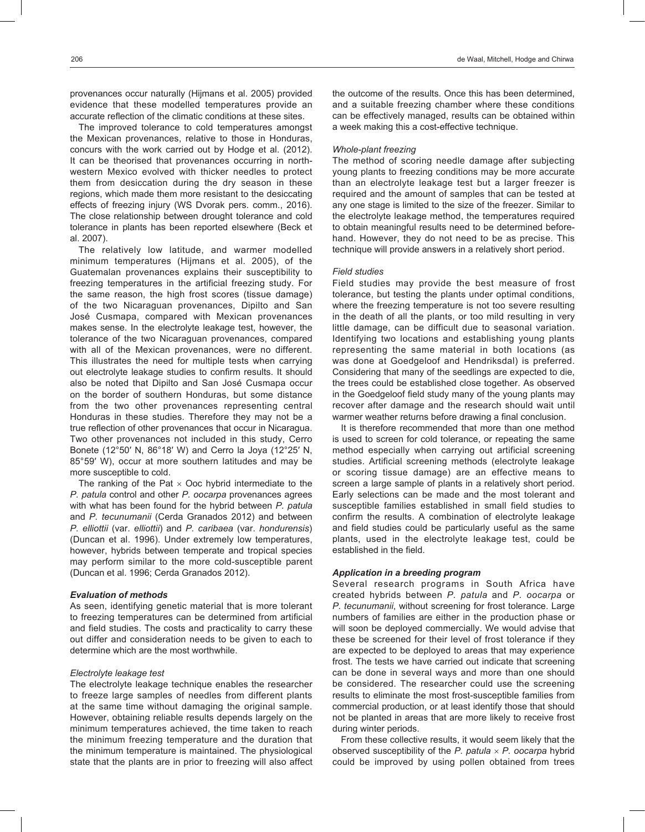provenances occur naturally (Hijmans et al. 2005) provided evidence that these modelled temperatures provide an accurate reflection of the climatic conditions at these sites.

The improved tolerance to cold temperatures amongst the Mexican provenances, relative to those in Honduras, concurs with the work carried out by Hodge et al. (2012). It can be theorised that provenances occurring in northwestern Mexico evolved with thicker needles to protect them from desiccation during the dry season in these regions, which made them more resistant to the desiccating effects of freezing injury (WS Dvorak pers. comm., 2016). The close relationship between drought tolerance and cold tolerance in plants has been reported elsewhere (Beck et al. 2007).

The relatively low latitude, and warmer modelled minimum temperatures (Hijmans et al. 2005), of the Guatemalan provenances explains their susceptibility to freezing temperatures in the artificial freezing study. For the same reason, the high frost scores (tissue damage) of the two Nicaraguan provenances, Dipilto and San José Cusmapa, compared with Mexican provenances makes sense. In the electrolyte leakage test, however, the tolerance of the two Nicaraguan provenances, compared with all of the Mexican provenances, were no different. This illustrates the need for multiple tests when carrying out electrolyte leakage studies to confirm results. It should also be noted that Dipilto and San José Cusmapa occur on the border of southern Honduras, but some distance from the two other provenances representing central Honduras in these studies. Therefore they may not be a true reflection of other provenances that occur in Nicaragua. Two other provenances not included in this study, Cerro Bonete (12°50′ N, 86°18′ W) and Cerro la Joya (12°25′ N, 85°59′ W), occur at more southern latitudes and may be more susceptible to cold.

The ranking of the Pat  $\times$  Ooc hybrid intermediate to the *P. patula* control and other *P. oocarpa* provenances agrees with what has been found for the hybrid between *P. patula* and *P. tecunumanii* (Cerda Granados 2012) and between *P. elliottii* (var. *elliottii*) and *P. caribaea* (var. *hondurensis*) (Duncan et al. 1996). Under extremely low temperatures, however, hybrids between temperate and tropical species may perform similar to the more cold-susceptible parent (Duncan et al. 1996; Cerda Granados 2012).

# *Evaluation of methods*

As seen, identifying genetic material that is more tolerant to freezing temperatures can be determined from artificial and field studies. The costs and practicality to carry these out differ and consideration needs to be given to each to determine which are the most worthwhile.

#### *Electrolyte leakage test*

The electrolyte leakage technique enables the researcher to freeze large samples of needles from different plants at the same time without damaging the original sample. However, obtaining reliable results depends largely on the minimum temperatures achieved, the time taken to reach the minimum freezing temperature and the duration that the minimum temperature is maintained. The physiological state that the plants are in prior to freezing will also affect the outcome of the results. Once this has been determined, and a suitable freezing chamber where these conditions can be effectively managed, results can be obtained within a week making this a cost-effective technique.

#### *Whole-plant freezing*

The method of scoring needle damage after subjecting young plants to freezing conditions may be more accurate than an electrolyte leakage test but a larger freezer is required and the amount of samples that can be tested at any one stage is limited to the size of the freezer. Similar to the electrolyte leakage method, the temperatures required to obtain meaningful results need to be determined beforehand. However, they do not need to be as precise. This technique will provide answers in a relatively short period.

# *Field studies*

Field studies may provide the best measure of frost tolerance, but testing the plants under optimal conditions, where the freezing temperature is not too severe resulting in the death of all the plants, or too mild resulting in very little damage, can be difficult due to seasonal variation. Identifying two locations and establishing young plants representing the same material in both locations (as was done at Goedgeloof and Hendriksdal) is preferred. Considering that many of the seedlings are expected to die, the trees could be established close together. As observed in the Goedgeloof field study many of the young plants may recover after damage and the research should wait until warmer weather returns before drawing a final conclusion.

It is therefore recommended that more than one method is used to screen for cold tolerance, or repeating the same method especially when carrying out artificial screening studies. Artificial screening methods (electrolyte leakage or scoring tissue damage) are an effective means to screen a large sample of plants in a relatively short period. Early selections can be made and the most tolerant and susceptible families established in small field studies to confirm the results. A combination of electrolyte leakage and field studies could be particularly useful as the same plants, used in the electrolyte leakage test, could be established in the field.

# *Application in a breeding program*

Several research programs in South Africa have created hybrids between *P. patula* and *P. oocarpa* or *P. tecunumanii*, without screening for frost tolerance. Large numbers of families are either in the production phase or will soon be deployed commercially. We would advise that these be screened for their level of frost tolerance if they are expected to be deployed to areas that may experience frost. The tests we have carried out indicate that screening can be done in several ways and more than one should be considered. The researcher could use the screening results to eliminate the most frost-susceptible families from commercial production, or at least identify those that should not be planted in areas that are more likely to receive frost during winter periods.

From these collective results, it would seem likely that the observed susceptibility of the *P. patula* × *P. oocarpa* hybrid could be improved by using pollen obtained from trees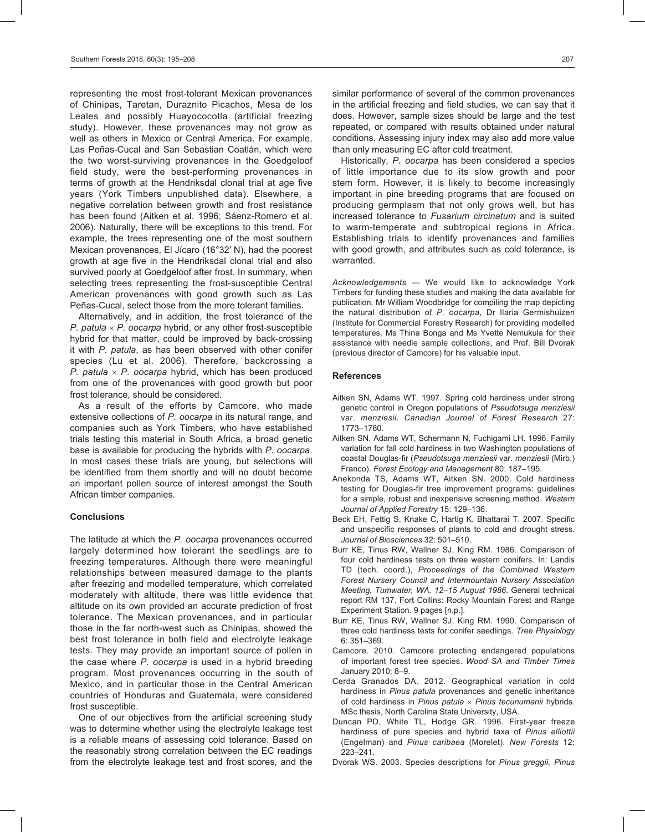representing the most frost-tolerant Mexican provenances of Chinipas, Taretan, Duraznito Picachos, Mesa de los Leales and possibly Huayococotla (artificial freezing study). However, these provenances may not grow as well as others in Mexico or Central America. For example, Las Peñas-Cucal and San Sebastian Coatlán, which were the two worst-surviving provenances in the Goedgeloof field study, were the best-performing provenances in terms of growth at the Hendriksdal clonal trial at age five years (York Timbers unpublished data). Elsewhere, a negative correlation between growth and frost resistance has been found (Aitken et al. 1996; Sáenz-Romero et al. 2006). Naturally, there will be exceptions to this trend. For example, the trees representing one of the most southern Mexican provenances, El Jícaro (16°32′ N), had the poorest growth at age five in the Hendriksdal clonal trial and also survived poorly at Goedgeloof after frost. In summary, when selecting trees representing the frost-susceptible Central American provenances with good growth such as Las Peñas-Cucal, select those from the more tolerant families.

Alternatively, and in addition, the frost tolerance of the *P. patula* × *P. oocarpa* hybrid, or any other frost-susceptible hybrid for that matter, could be improved by back-crossing it with *P. patula*, as has been observed with other conifer species (Lu et al. 2006). Therefore, backcrossing a *P. patula* × *P. oocarpa* hybrid, which has been produced from one of the provenances with good growth but poor frost tolerance, should be considered.

As a result of the efforts by Camcore, who made extensive collections of *P. oocarpa* in its natural range, and companies such as York Timbers, who have established trials testing this material in South Africa, a broad genetic base is available for producing the hybrids with *P. oocarpa*. In most cases these trials are young, but selections will be identified from them shortly and will no doubt become an important pollen source of interest amongst the South African timber companies.

## **Conclusions**

The latitude at which the *P. oocarpa* provenances occurred largely determined how tolerant the seedlings are to freezing temperatures. Although there were meaningful relationships between measured damage to the plants after freezing and modelled temperature, which correlated moderately with altitude, there was little evidence that altitude on its own provided an accurate prediction of frost tolerance. The Mexican provenances, and in particular those in the far north-west such as Chinipas, showed the best frost tolerance in both field and electrolyte leakage tests. They may provide an important source of pollen in the case where *P. oocarpa* is used in a hybrid breeding program. Most provenances occurring in the south of Mexico, and in particular those in the Central American countries of Honduras and Guatemala, were considered frost susceptible.

One of our objectives from the artificial screening study was to determine whether using the electrolyte leakage test is a reliable means of assessing cold tolerance. Based on the reasonably strong correlation between the EC readings from the electrolyte leakage test and frost scores, and the

similar performance of several of the common provenances in the artificial freezing and field studies, we can say that it does. However, sample sizes should be large and the test repeated, or compared with results obtained under natural conditions. Assessing injury index may also add more value than only measuring EC after cold treatment.

Historically, *P. oocarpa* has been considered a species of little importance due to its slow growth and poor stem form. However, it is likely to become increasingly important in pine breeding programs that are focused on producing germplasm that not only grows well, but has increased tolerance to *Fusarium circinatum* and is suited to warm-temperate and subtropical regions in Africa. Establishing trials to identify provenances and families with good growth, and attributes such as cold tolerance, is warranted.

*Acknowledgements* — We would like to acknowledge York Timbers for funding these studies and making the data available for publication, Mr William Woodbridge for compiling the map depicting the natural distribution of *P. oocarpa*, Dr Ilaria Germishuizen (Institute for Commercial Forestry Research) for providing modelled temperatures, Ms Thina Bonga and Ms Yvette Nemukula for their assistance with needle sample collections, and Prof. Bill Dvorak (previous director of Camcore) for his valuable input.

#### **References**

- Aitken SN, Adams WT. 1997. Spring cold hardiness under strong genetic control in Oregon populations of *Pseudotsuga menziesii* var. *menziesii*. *Canadian Journal of Forest Research* 27: 1773–1780.
- Aitken SN, Adams WT, Schermann N, Fuchigami LH. 1996. Family variation for fall cold hardiness in two Washington populations of coastal Douglas-fir (*Pseudotsuga menziesii* var. *menziesii* (Mirb.) Franco). *Forest Ecology and Management* 80: 187–195.
- Anekonda TS, Adams WT, Aitken SN. 2000. Cold hardiness testing for Douglas-fir tree improvement programs: guidelines for a simple, robust and inexpensive screening method. *Western Journal of Applied Forestry* 15: 129–136.
- Beck EH, Fettig S, Knake C, Hartig K, Bhattarai T. 2007. Specific and unspecific responses of plants to cold and drought stress. *Journal of Biosciences* 32: 501–510.
- Burr KE, Tinus RW, Wallner SJ, King RM. 1986. Comparison of four cold hardiness tests on three western conifers. In: Landis TD (tech. coord.), *Proceedings of the Combined Western Forest Nursery Council and Intermountain Nursery Association Meeting, Tumwater, WA, 12–15 August 1986*. General technical report RM 137. Fort Collins: Rocky Mountain Forest and Range Experiment Station. 9 pages [n.p.].
- Burr KE, Tinus RW, Wallner SJ, King RM. 1990. Comparison of three cold hardiness tests for conifer seedlings. *Tree Physiology* 6: 351–369.
- Camcore. 2010. Camcore protecting endangered populations of important forest tree species. *Wood SA and Timber Times* January 2010: 8–9.
- Cerda Granados DA. 2012. Geographical variation in cold hardiness in *Pinus patula* provenances and genetic inheritance of cold hardiness in *Pinus patula* × *Pinus tecunumanii* hybrids. MSc thesis, North Carolina State University, USA.
- Duncan PD, White TL, Hodge GR. 1996. First-year freeze hardiness of pure species and hybrid taxa of *Pinus elliottii* (Engelman) and *Pinus caribaea* (Morelet). *New Forests* 12: 223–241.
- Dvorak WS. 2003. Species descriptions for *Pinus greggii, Pinus*